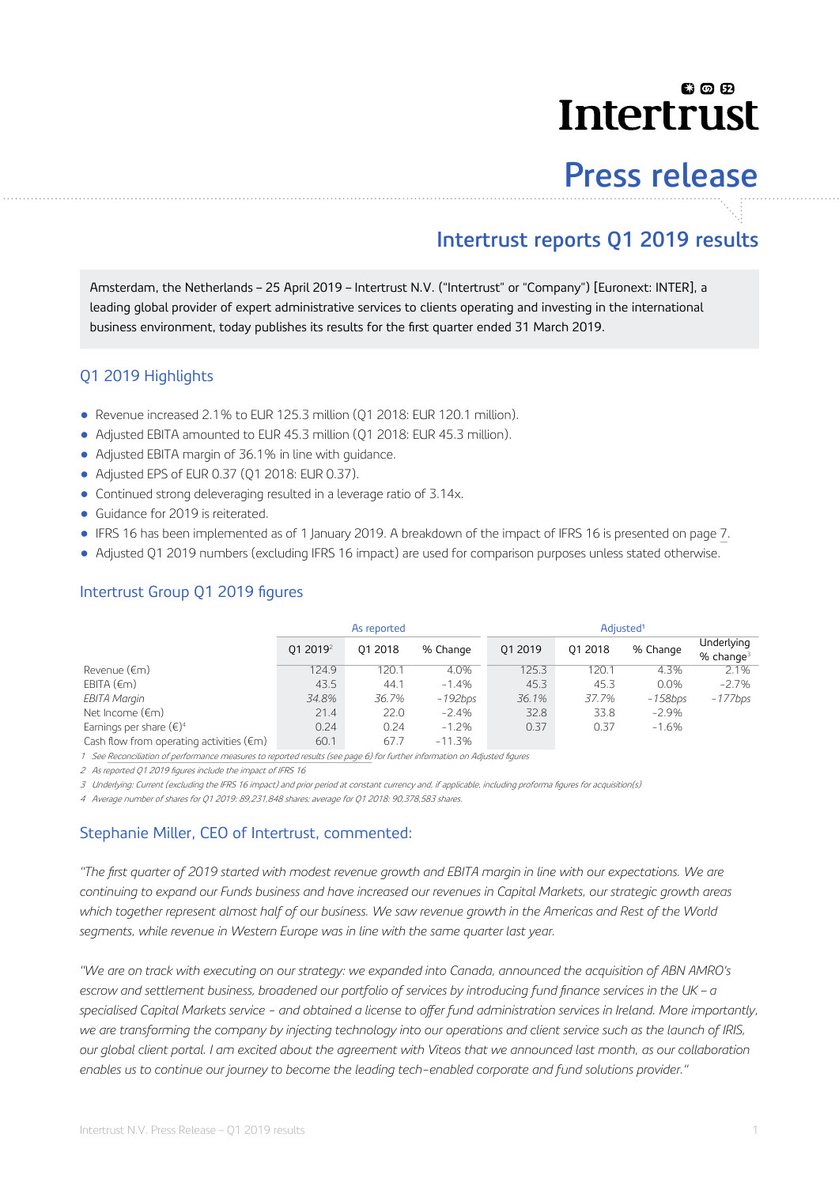# லை **Intertrust**

# **Press release**

## **Intertrust reports Q1 2019 results**

Amsterdam, the Netherlands – 25 April 2019 – Intertrust N.V. ("Intertrust" or "Company") [Euronext: INTER], a leading global provider of expert administrative services to clients operating and investing in the international business environment, today publishes its results for the first quarter ended 31 March 2019.

#### Q1 2019 Highlights

- Revenue increased 2.1% to EUR 125.3 million (Q1 2018: EUR 120.1 million).
- Adjusted EBITA amounted to EUR 45.3 million (Q1 2018: EUR 45.3 million).
- Adjusted EBITA margin of 36.1% in line with guidance.
- Adjusted EPS of EUR 0.37 (Q1 2018: EUR 0.37).
- Continued strong deleveraging resulted in a leverage ratio of 3.14x.
- Guidance for 2019 is reiterated.
- IFRS 16 has been implemented as of 1 January 2019. A breakdown of the impact of IFRS 16 is presented on page [7](#page-6-0).
- Adjusted Q1 2019 numbers (excluding IFRS 16 impact) are used for comparison purposes unless stated otherwise.

|                                                    |                      | As reported |            | Adjusted <sup>1</sup> |         |            |                              |  |
|----------------------------------------------------|----------------------|-------------|------------|-----------------------|---------|------------|------------------------------|--|
|                                                    | 01 2019 <sup>2</sup> | 01 2018     | % Change   | 01 2019               | 01 2018 | % Change   | Underlying<br>$%$ change $3$ |  |
| Revenue (€m)                                       | 124.9                | 120.1       | 4.0%       | 125.3                 | 120.1   | 4.3%       | 2.1%                         |  |
| EBITA $(\epsilon m)$                               | 43.5                 | 44.1        | $-1.4%$    | 45.3                  | 45.3    | 0.0%       | $-2.7%$                      |  |
| EBITA Margin                                       | 34.8%                | 36.7%       | $-192$ bps | 36.1%                 | 37.7%   | $-158$ bps | $-177b$ ps                   |  |
| Net Income $(\epsilon m)$                          | 21.4                 | 22.0        | $-2.4%$    | 32.8                  | 33.8    | $-2.9%$    |                              |  |
| Earnings per share $(\epsilon)^4$                  | 0.24                 | 0.24        | $-1.2%$    | 0.37                  | 0.37    | $-1.6%$    |                              |  |
| Cash flow from operating activities $(\epsilon m)$ | 60.1                 | 67.7        | $-11.3%$   |                       |         |            |                              |  |

#### Intertrust Group Q1 2019 figures

1 See [Reconciliation of performance measures to reported results \(see page 6\)](#page-5-0) for further information on Adjusted figures

2 As reported Q1 2019 figures include the impact of IFRS 16

3 Underlying: Current (excluding the IFRS 16 impact) and prior period at constant currency and, if applicable, including proforma figures for acquisition(s)

4 Average number of shares for Q1 2019: 89,231,848 shares; average for Q1 2018: 90,378,583 shares.

#### Stephanie Miller, CEO of Intertrust, commented:

*"The first quarter of 2019 started with modest revenue growth and EBITA margin in line with our expectations. We are continuing to expand our Funds business and have increased our revenues in Capital Markets, our strategic growth areas which together represent almost half of our business. We saw revenue growth in the Americas and Rest of the World segments, while revenue in Western Europe was in line with the same quarter last year.*

*"We are on track with executing on our strategy: we expanded into Canada, announced the acquisition of ABN AMRO's* escrow and settlement business, broadened our portfolio of services by introducing fund finance services in the UK - a specialised Capital Markets service - and obtained a license to offer fund administration services in Ireland. More importantly, *we are transforming the company by injecting technology into our operations and client service such as the launch of IRIS, our global client portal. I am excited about the agreement with Viteos that we announced last month, as our collaboration enables us to continue our journey to become the leading tech-enabled corporate and fund solutions provider."*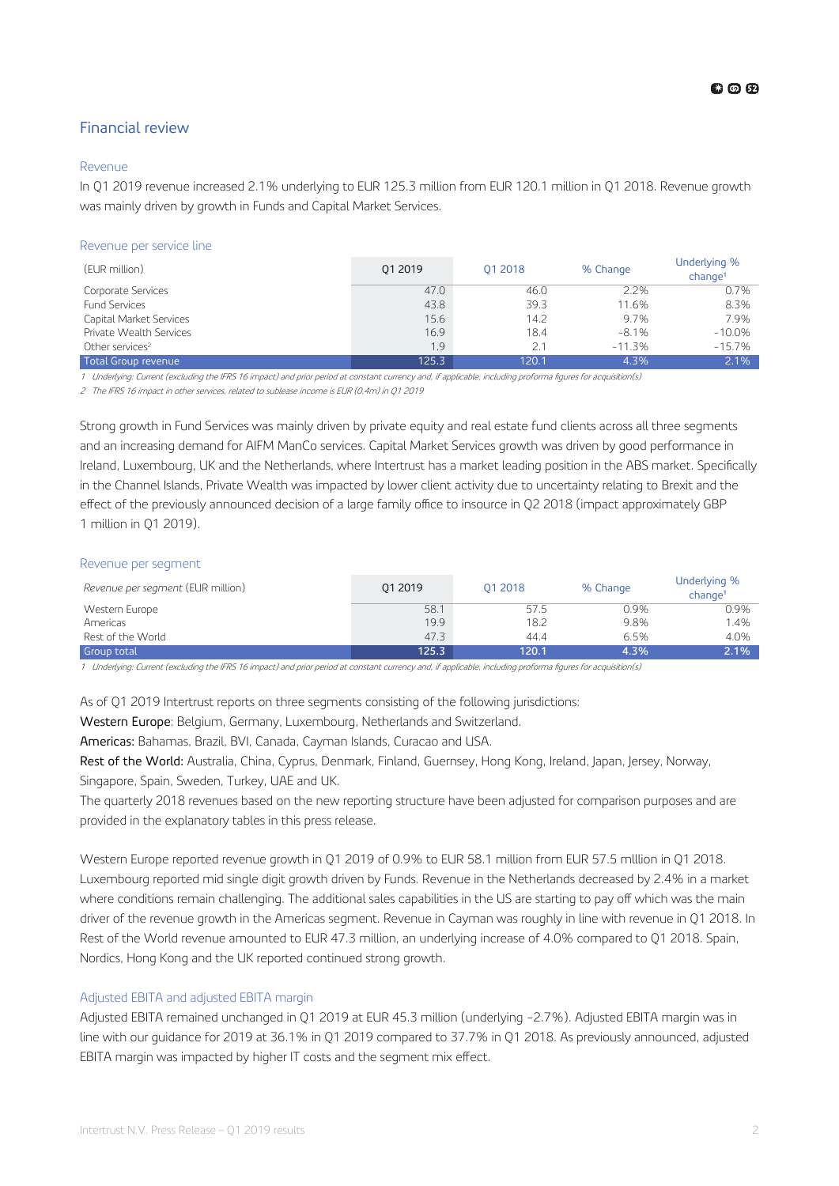#### Financial review

#### Revenue

In Q1 2019 revenue increased 2.1% underlying to EUR 125.3 million from EUR 120.1 million in Q1 2018. Revenue growth was mainly driven by growth in Funds and Capital Market Services.

#### Revenue per service line

| (EUR million)               | 01 2019 | 01 2018 | % Change | Underlying %<br>$ch$ ange <sup>1</sup> |
|-----------------------------|---------|---------|----------|----------------------------------------|
| Corporate Services          | 47.0    | 46.0    | 2.2%     | 0.7%                                   |
| <b>Fund Services</b>        | 43.8    | 39.3    | 11.6%    | 8.3%                                   |
| Capital Market Services     | 15.6    | 14.2    | 9.7%     | 7.9%                                   |
| Private Wealth Services     | 16.9    | 18.4    | $-8.1%$  | $-10.0%$                               |
| Other services <sup>2</sup> | 1.9     | 2.1     | $-11.3%$ | $-15.7%$                               |
| Total Group revenue         | 125.3   | 120.1   | 4.3%     | 2.1%                                   |

1 Underlying: Current (excluding the IFRS 16 impact) and prior period at constant currency and, if applicable, including proforma figures for acquisition(s)

<sup>2</sup> The IFRS 16 impact in other services, related to sublease income is EUR (0.4m) in Q1 2019

Strong growth in Fund Services was mainly driven by private equity and real estate fund clients across all three segments and an increasing demand for AIFM ManCo services. Capital Market Services growth was driven by good performance in Ireland, Luxembourg, UK and the Netherlands, where Intertrust has a market leading position in the ABS market. Specifically in the Channel Islands, Private Wealth was impacted by lower client activity due to uncertainty relating to Brexit and the effect of the previously announced decision of a large family office to insource in Q2 2018 (impact approximately GBP 1 million in Q1 2019).

#### Revenue per segment

| <i>Revenue per segment</i> (EUR million) | 01 2019 | 01 2018 | % Change | Underlying %<br>change <sup>1</sup> |
|------------------------------------------|---------|---------|----------|-------------------------------------|
| Western Europe                           | 58.1    | 57.5    | 0.9%     | 0.9%                                |
| Americas                                 | 19.9    | 18.2    | 9.8%     | 1.4%                                |
| Rest of the World                        | 47.3    | 44.4    | 6.5%     | 4.0%                                |
| <b>Group total</b>                       | 125.3   | 120.1   | 4.3%     | 2.1%                                |

1 Underlying: Current (excluding the IFRS 16 impact) and prior period at constant currency and, if applicable, including proforma figures for acquisition(s)

As of Q1 2019 Intertrust reports on three segments consisting of the following jurisdictions:

Western Europe: Belgium, Germany, Luxembourg, Netherlands and Switzerland.

Americas: Bahamas, Brazil, BVI, Canada, Cayman Islands, Curacao and USA.

Rest of the World: Australia, China, Cyprus, Denmark, Finland, Guernsey, Hong Kong, Ireland, Japan, Jersey, Norway, Singapore, Spain, Sweden, Turkey, UAE and UK.

The quarterly 2018 revenues based on the new reporting structure have been adjusted for comparison purposes and are provided in the explanatory tables in this press release.

Western Europe reported revenue growth in Q1 2019 of 0.9% to EUR 58.1 million from EUR 57.5 mlllion in Q1 2018. Luxembourg reported mid single digit growth driven by Funds. Revenue in the Netherlands decreased by 2.4% in a market where conditions remain challenging. The additional sales capabilities in the US are starting to pay off which was the main driver of the revenue growth in the Americas segment. Revenue in Cayman was roughly in line with revenue in Q1 2018. In Rest of the World revenue amounted to EUR 47.3 million, an underlying increase of 4.0% compared to Q1 2018. Spain, Nordics, Hong Kong and the UK reported continued strong growth.

#### Adjusted EBITA and adjusted EBITA margin

Adjusted EBITA remained unchanged in Q1 2019 at EUR 45.3 million (underlying -2.7%). Adjusted EBITA margin was in line with our guidance for 2019 at 36.1% in Q1 2019 compared to 37.7% in Q1 2018. As previously announced, adjusted EBITA margin was impacted by higher IT costs and the segment mix effect.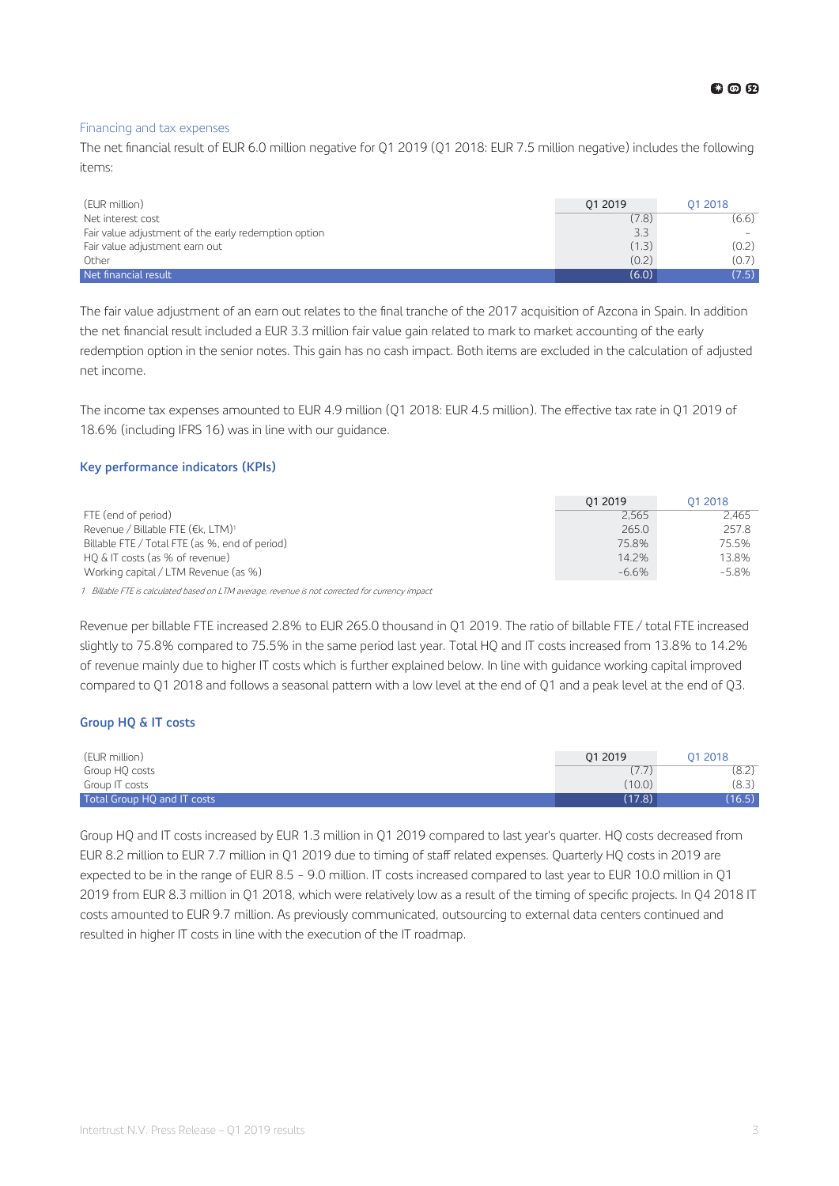#### Financing and tax expenses

The net financial result of EUR 6.0 million negative for Q1 2019 (Q1 2018: EUR 7.5 million negative) includes the following items:

| (EUR million)                                        | 01 2019 | 01 2018 |
|------------------------------------------------------|---------|---------|
| Net interest cost                                    | (7.8)   | (6.6)   |
| Fair value adjustment of the early redemption option | 3.3     |         |
| Fair value adjustment earn out                       | (1.3)   | (0.2)   |
| Other                                                | (0.2)   | (0.7)   |
| Net financial result                                 | (6.0)   | (7.5)   |

The fair value adjustment of an earn out relates to the final tranche of the 2017 acquisition of Azcona in Spain. In addition the net financial result included a EUR 3.3 million fair value gain related to mark to market accounting of the early redemption option in the senior notes. This gain has no cash impact. Both items are excluded in the calculation of adjusted net income.

The income tax expenses amounted to EUR 4.9 million (Q1 2018: EUR 4.5 million). The effective tax rate in Q1 2019 of 18.6% (including IFRS 16) was in line with our guidance.

#### **Key performance indicators (KPIs)**

|                                                | 01 2019 | 01 2018  |
|------------------------------------------------|---------|----------|
| FTE (end of period)                            | 2.565   | 2.465    |
| Revenue / Billable FTE (€k. LTM)1              | 265.0   | 257.8    |
| Billable FTE / Total FTE (as %, end of period) | 75.8%   | 75.5%    |
| HQ & IT costs (as % of revenue)                | 14.2%   | 13.8%    |
| Working capital / LTM Revenue (as %)           | $-6.6%$ | $-5.8\%$ |

1 Billable FTE is calculated based on LTM average, revenue is not corrected for currency impact

Revenue per billable FTE increased 2.8% to EUR 265.0 thousand in Q1 2019. The ratio of billable FTE / total FTE increased slightly to 75.8% compared to 75.5% in the same period last year. Total HQ and IT costs increased from 13.8% to 14.2% of revenue mainly due to higher IT costs which is further explained below. In line with guidance working capital improved compared to Q1 2018 and follows a seasonal pattern with a low level at the end of Q1 and a peak level at the end of Q3.

#### **Group HQ & IT costs**

| (EUR million)               | 01 2019 | 01 2018 |
|-----------------------------|---------|---------|
| Group HQ costs              | (77)    | (8.2)   |
| Group IT costs              | (10.0)  | (8.3)   |
| Total Group HQ and IT costs | (17.8)  | (16.5)  |

Group HQ and IT costs increased by EUR 1.3 million in Q1 2019 compared to last year's quarter. HQ costs decreased from EUR 8.2 million to EUR 7.7 million in Q1 2019 due to timing of staff related expenses. Quarterly HQ costs in 2019 are expected to be in the range of EUR 8.5 - 9.0 million. IT costs increased compared to last year to EUR 10.0 million in Q1 2019 from EUR 8.3 million in Q1 2018, which were relatively low as a result of the timing of specific projects. In Q4 2018 IT costs amounted to EUR 9.7 million. As previously communicated, outsourcing to external data centers continued and resulted in higher IT costs in line with the execution of the IT roadmap.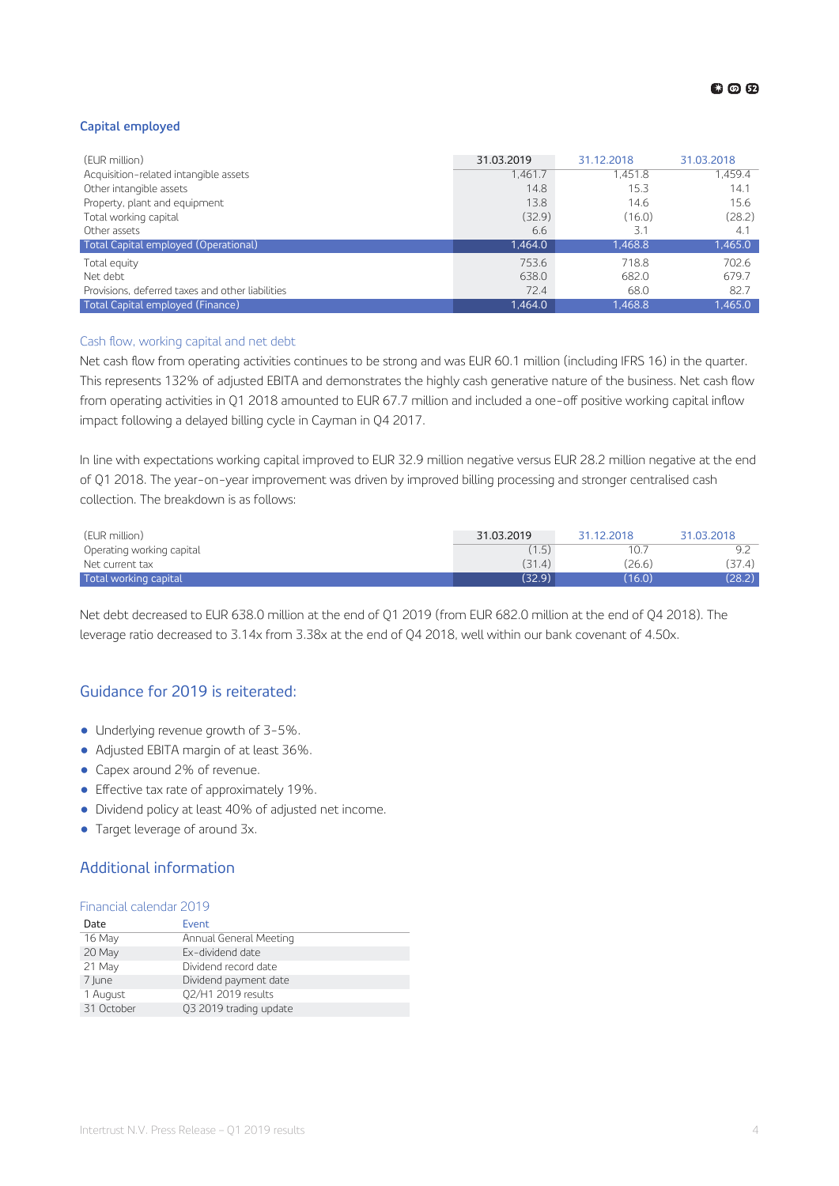#### **Capital employed**

| (EUR million)                                    | 31.03.2019 | 31.12.2018 | 31.03.2018 |
|--------------------------------------------------|------------|------------|------------|
| Acquisition-related intangible assets            | 1,461.7    | 1.451.8    | 1.459.4    |
| Other intangible assets                          | 14.8       | 15.3       | 14.1       |
| Property, plant and equipment                    | 13.8       | 14.6       | 15.6       |
| Total working capital                            | (32.9)     | (16.0)     | (28.2)     |
| Other assets                                     | 6.6        | 3.1        | 4.1        |
| Total Capital employed (Operational)             | 1,464.0    | 1,468.8    | 1,465.0    |
| Total equity                                     | 753.6      | 718.8      | 702.6      |
| Net debt                                         | 638.0      | 682.0      | 679.7      |
| Provisions, deferred taxes and other liabilities | 72.4       | 68.0       | 82.7       |
| Total Capital employed (Finance)                 | 1.464.0    | 1.468.8    | 1,465.0    |

#### Cash flow, working capital and net debt

Net cash flow from operating activities continues to be strong and was EUR 60.1 million (including IFRS 16) in the quarter. This represents 132% of adjusted EBITA and demonstrates the highly cash generative nature of the business. Net cash flow from operating activities in Q1 2018 amounted to EUR 67.7 million and included a one-off positive working capital inflow impact following a delayed billing cycle in Cayman in Q4 2017.

In line with expectations working capital improved to EUR 32.9 million negative versus EUR 28.2 million negative at the end of Q1 2018. The year-on-year improvement was driven by improved billing processing and stronger centralised cash collection. The breakdown is as follows:

| (EUR million)             | 31.03.2019 | 31.12.2018 | 31.03.2018 |
|---------------------------|------------|------------|------------|
| Operating working capital | (1.5)      | 10.7       |            |
| Net current tax           | (31.4)     | (26.6)     | (37.4)     |
| Total working capital     | (32.9)     | (16.0)     | (28.2)     |

Net debt decreased to EUR 638.0 million at the end of Q1 2019 (from EUR 682.0 million at the end of Q4 2018). The leverage ratio decreased to 3.14x from 3.38x at the end of Q4 2018, well within our bank covenant of 4.50x.

#### Guidance for 2019 is reiterated:

- Underlying revenue growth of 3-5%.
- Adjusted EBITA margin of at least 36%.
- Capex around 2% of revenue.
- $\bullet$  Effective tax rate of approximately 19%.
- Dividend policy at least 40% of adjusted net income.
- Target leverage of around 3x.

#### Additional information

#### Financial calendar 2019

| Date       | Event                  |
|------------|------------------------|
| 16 May     | Annual General Meeting |
| 20 May     | Ex-dividend date       |
| 21 May     | Dividend record date   |
| 7 June     | Dividend payment date  |
| 1 August   | 02/H1 2019 results     |
| 31 October | Q3 2019 trading update |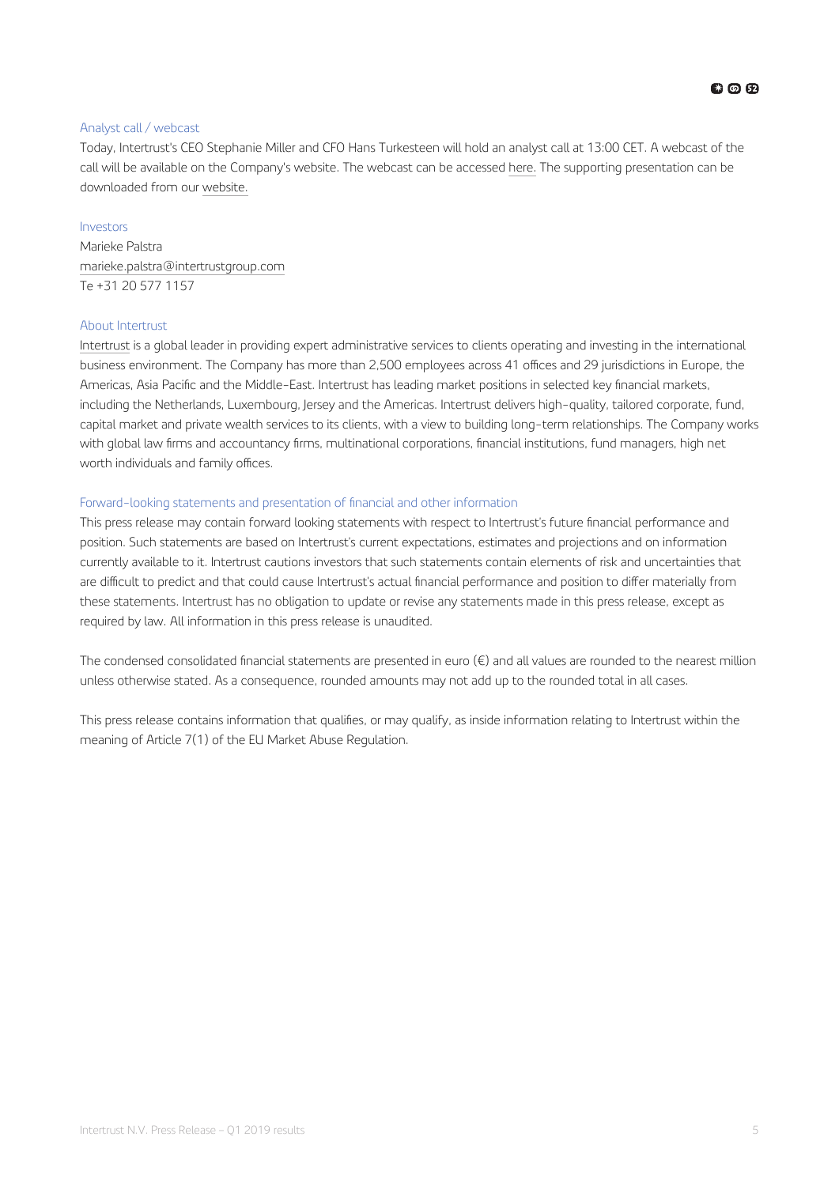#### Analyst call / webcast

Today, Intertrust's CEO Stephanie Miller and CFO Hans Turkesteen will hold an analyst call at 13:00 CET. A webcast of the call will be available on the Company's website. The webcast can be accessed [here.](https://channel.royalcast.com/webcast/intertrustgroupinvestors/20190425_1/) The supporting presentation can be downloaded from our [website.](https://www.intertrustgroup.com/investors)

#### Investors

Marieke Palstra [marieke.palstra@intertrustgroup.com](mailto:marieke.palstra@intertrustgroup.com) Te +31 20 577 1157

#### About Intertrust

[Intertrust](https://www.intertrustgroup.com/) is a global leader in providing expert administrative services to clients operating and investing in the international business environment. The Company has more than 2,500 employees across 41 offices and 29 jurisdictions in Europe, the Americas, Asia Pacific and the Middle-East. Intertrust has leading market positions in selected key financial markets, including the Netherlands, Luxembourg, Jersey and the Americas. Intertrust delivers high-quality, tailored corporate, fund, capital market and private wealth services to its clients, with a view to building long-term relationships. The Company works with global law firms and accountancy firms, multinational corporations, financial institutions, fund managers, high net worth individuals and family offices.

#### Forward-looking statements and presentation of financial and other information

This press release may contain forward looking statements with respect to Intertrust's future financial performance and position. Such statements are based on Intertrust's current expectations, estimates and projections and on information currently available to it. Intertrust cautions investors that such statements contain elements of risk and uncertainties that are difficult to predict and that could cause Intertrust's actual financial performance and position to differ materially from these statements. Intertrust has no obligation to update or revise any statements made in this press release, except as required by law. All information in this press release is unaudited.

The condensed consolidated financial statements are presented in euro  $(\epsilon)$  and all values are rounded to the nearest million unless otherwise stated. As a consequence, rounded amounts may not add up to the rounded total in all cases.

This press release contains information that qualifies, or may qualify, as inside information relating to Intertrust within the meaning of Article 7(1) of the EU Market Abuse Regulation.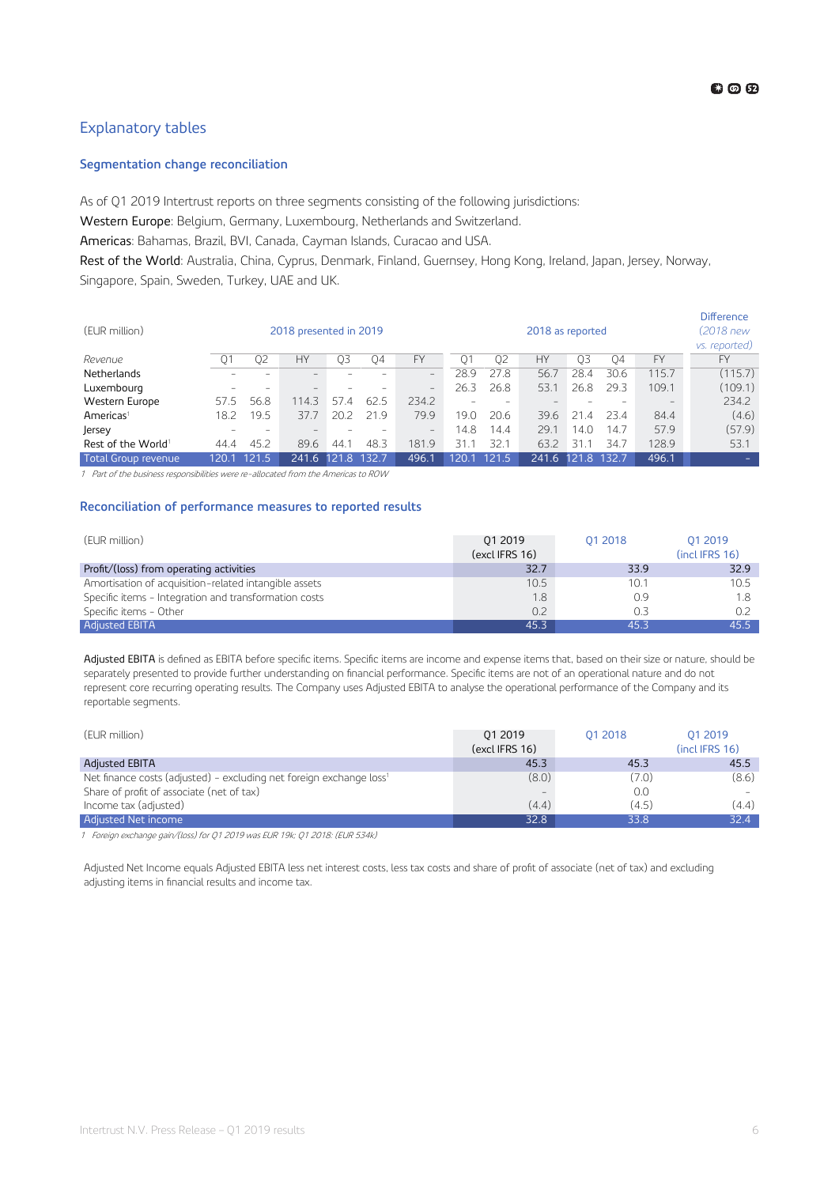#### <span id="page-5-0"></span>Explanatory tables

#### **Segmentation change reconciliation**

As of Q1 2019 Intertrust reports on three segments consisting of the following jurisdictions:

Western Europe: Belgium, Germany, Luxembourg, Netherlands and Switzerland.

Americas: Bahamas, Brazil, BVI, Canada, Cayman Islands, Curacao and USA.

Rest of the World: Australia, China, Cyprus, Denmark, Finland, Guernsey, Hong Kong, Ireland, Japan, Jersey, Norway, Singapore, Spain, Sweden, Turkey, UAE and UK.

|                                |       |       |                        |                      |       |                   |       |       |                                 |                      |       |           | <b>Difference</b> |
|--------------------------------|-------|-------|------------------------|----------------------|-------|-------------------|-------|-------|---------------------------------|----------------------|-------|-----------|-------------------|
| (EUR million).                 |       |       | 2018 presented in 2019 |                      |       |                   |       |       | 2018 as reported                |                      |       |           | (2018 new         |
|                                |       |       |                        |                      |       |                   |       |       |                                 |                      |       |           | vs. reported)     |
| Revenue                        | Q1    | 02    | <b>HY</b>              | O3                   | 04    | <b>FY</b>         | 01    | 02    | <b>HY</b>                       | 03                   | 04    | <b>FY</b> | <b>FY</b>         |
| Netherlands                    |       |       |                        |                      |       | $-$               | 28.9  | 27.8  | 56.7                            | 28.4                 | 30.6  | 115.7     | (115.7)           |
| Luxembourg                     |       |       | -                      |                      |       | $\qquad \qquad -$ | 26.3  | 26.8  | 53.1                            | 26.8                 | 29.3  | 109.1     | (109.1)           |
| Western Europe                 | 57.5  | 56.8  | 114.3                  | 57<br>$\overline{A}$ | 62.5  | 234.2             |       |       | $\hspace{0.1mm}-\hspace{0.1mm}$ |                      |       |           | 234.2             |
| $A$ mericas <sup>1</sup>       | 18.2  | 19.5  | 37.7                   | 20.2                 | 21.9  | 79.9              | 19.0  | 20.6  | 39.6                            | 21<br>$\overline{A}$ | 23.4  | 84.4      | (4.6)             |
| Jersey                         |       |       |                        |                      |       | $-$               | 14.8  | 14.4  | 29.1                            | 14.O                 | 14.7  | 57.9      | (57.9)            |
| Rest of the World <sup>1</sup> | 44.4  | 45.2  | 89.6                   | 44.                  | 48.3  | 181.9             | 31.1  | 32.1  | 63.2                            | 31.1                 | 34.7  | 128.9     | 53.1              |
| Total Group revenue            | 120.1 | 121.5 | 241.6                  | 121<br>∣.8           | 132.7 | 496.1             | 120.1 | 121.5 | 241.6 121                       | ୍ଧ                   | 132.7 | 496.1     |                   |

1 Part of the business responsibilities were re-allocated from the Americas to ROW

#### **Reconciliation of performance measures to reported results**

| (EUR million)                                         | 01 2019<br>(excl IFRS 16) | 01 2018 | 01 2019<br>$($ incl IFRS 16) |
|-------------------------------------------------------|---------------------------|---------|------------------------------|
| Profit/(loss) from operating activities               | 32.7                      | 33.9    | 32.9                         |
| Amortisation of acquisition-related intangible assets | 10.5                      | 10.1    | 10.5                         |
| Specific items - Integration and transformation costs | 1.8                       | 0.9     | 1.8                          |
| Specific items - Other                                | 0.2                       | 0.3     | 0.2                          |
| <b>Adjusted EBITA</b>                                 | 45.3                      | 45 3    | 45.5                         |

Adjusted EBITA is defined as EBITA before specific items. Specific items are income and expense items that, based on their size or nature, should be separately presented to provide further understanding on financial performance. Specific items are not of an operational nature and do not represent core recurring operating results. The Company uses Adjusted EBITA to analyse the operational performance of the Company and its reportable segments.

| (EUR million)                                                                   | 01 2019<br>(excl IFRS 16) | 01 2018 | 01 2019<br>(incl IFRS 16) |
|---------------------------------------------------------------------------------|---------------------------|---------|---------------------------|
| <b>Adjusted EBITA</b>                                                           | 45.3                      | 45.3    | 45.5                      |
| Net finance costs (adjusted) - excluding net foreign exchange loss <sup>1</sup> | (8.0)                     | (7.0)   | (8.6)                     |
| Share of profit of associate (net of tax)                                       |                           | 0.0     |                           |
| Income tax (adjusted)                                                           | (4.4)                     | (4.5)   | (4.4)                     |
| Adjusted Net income                                                             | 32.8                      | 33.8    | 32.4                      |

<sup>1</sup> Foreign exchange gain/(loss) for Q1 2019 was EUR 19k; Q1 2018: (EUR 534k)

Adjusted Net Income equals Adjusted EBITA less net interest costs, less tax costs and share of profit of associate (net of tax) and excluding adjusting items in financial results and income tax.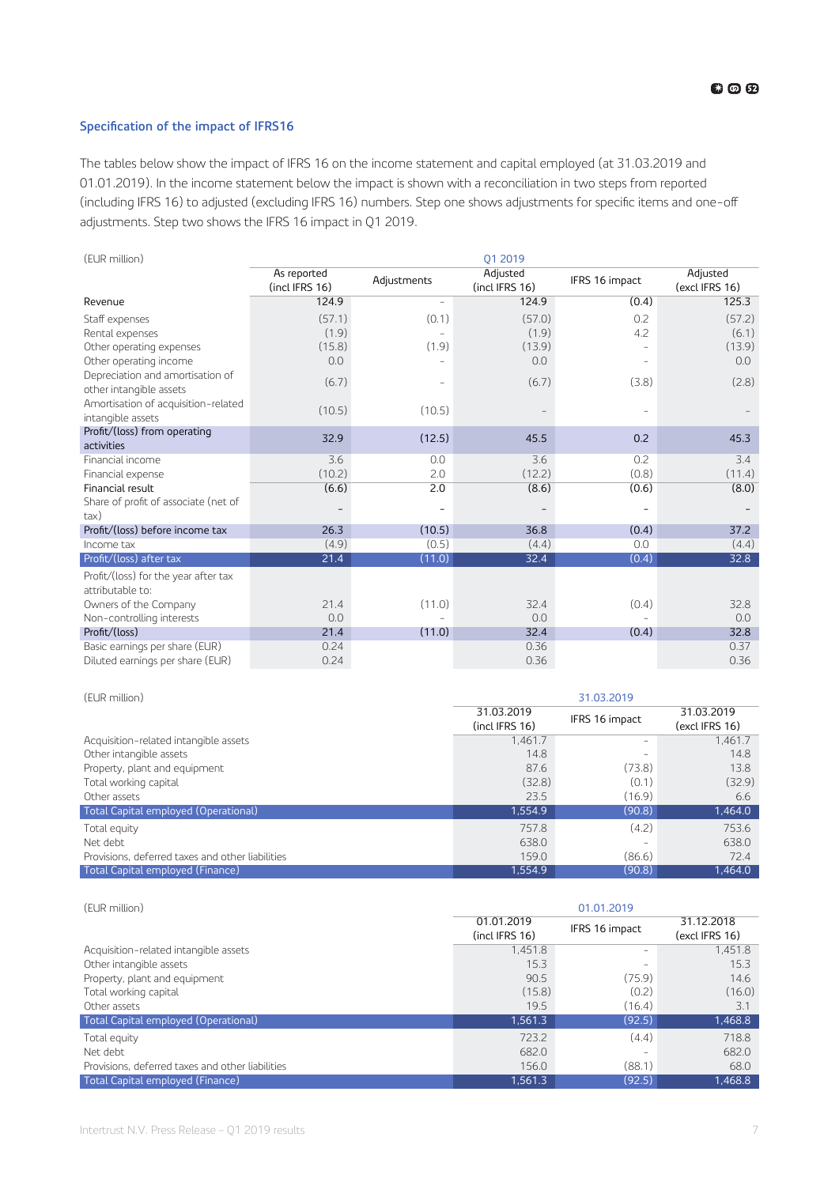#### <span id="page-6-0"></span>**Specification of the impact of IFRS16**

The tables below show the impact of IFRS 16 on the income statement and capital employed (at 31.03.2019 and 01.01.2019). In the income statement below the impact is shown with a reconciliation in two steps from reported (including IFRS 16) to adjusted (excluding IFRS 16) numbers. Step one shows adjustments for specific items and one-off adjustments. Step two shows the IFRS 16 impact in Q1 2019.

| (EUR million)                                                      |                               |                | 01 2019                    |                |                            |
|--------------------------------------------------------------------|-------------------------------|----------------|----------------------------|----------------|----------------------------|
|                                                                    | As reported<br>(incl IFRS 16) | Adjustments    | Adjusted<br>(incl IFRS 16) | IFRS 16 impact | Adjusted<br>(excl IFRS 16) |
| Revenue                                                            | 124.9                         |                | 124.9                      | (0.4)          | 125.3                      |
| Staff expenses<br>Rental expenses                                  | (57.1)<br>(1.9)               | (0.1)          | (57.0)<br>(1.9)            | 0.2<br>4.2     | (57.2)<br>(6.1)            |
| Other operating expenses                                           | (15.8)                        | (1.9)          | (13.9)                     |                | (13.9)                     |
| Other operating income                                             | 0.0                           |                | 0.0                        |                | 0.0                        |
| Depreciation and amortisation of<br>other intangible assets        | (6.7)                         | $\overline{a}$ | (6.7)                      | (3.8)          | (2.8)                      |
| Amortisation of acquisition-related<br>intangible assets           | (10.5)                        | (10.5)         |                            | ÷              |                            |
| Profit/(loss) from operating<br>activities                         | 32.9                          | (12.5)         | 45.5                       | 0.2            | 45.3                       |
| Financial income                                                   | 3.6                           | 0.0            | 3.6                        | 0.2            | 3.4                        |
| Financial expense                                                  | (10.2)                        | 2.0            | (12.2)                     | (0.8)          | (11.4)                     |
| Financial result                                                   | (6.6)                         | 2.0            | (8.6)                      | (0.6)          | (8.0)                      |
| Share of profit of associate (net of<br>tax)                       |                               |                |                            |                |                            |
| Profit/(loss) before income tax                                    | 26.3                          | (10.5)         | 36.8                       | (0.4)          | 37.2                       |
| Income tax                                                         | (4.9)                         | (0.5)          | (4.4)                      | 0.0            | (4.4)                      |
| Profit/(loss) after tax                                            | 21.4                          | (11.0)         | 32.4                       | (0.4)          | 32.8                       |
| Profit/(loss) for the year after tax<br>attributable to:           |                               |                |                            |                |                            |
| Owners of the Company<br>Non-controlling interests                 | 21.4<br>0.0                   | (11.0)         | 32.4<br>0.0                | (0.4)          | 32.8<br>0.0                |
| Profit/(loss)                                                      | 21.4                          | (11.0)         | 32.4                       | (0.4)          | 32.8                       |
| Basic earnings per share (EUR)<br>Diluted earnings per share (EUR) | 0.24<br>0.24                  |                | 0.36<br>0.36               |                | 0.37<br>0.36               |

| (EUR million)                                    | 31.03.2019                   |                   |                              |
|--------------------------------------------------|------------------------------|-------------------|------------------------------|
|                                                  | 31.03.2019<br>(incl IFRS 16) | IFRS 16 impact    | 31.03.2019<br>(excl IFRS 16) |
| Acquisition-related intangible assets            | 1.461.7                      | $\qquad \qquad -$ | 1.461.7                      |
| Other intangible assets                          | 14.8                         | $\qquad \qquad -$ | 14.8                         |
| Property, plant and equipment                    | 87.6                         | (73.8)            | 13.8                         |
| Total working capital                            | (32.8)                       | (0.1)             | (32.9)                       |
| Other assets                                     | 23.5                         | (16.9)            | 6.6                          |
| Total Capital employed (Operational)             | 1,554.9                      | (90.8)            | 1,464.0                      |
| Total equity                                     | 757.8                        | (4.2)             | 753.6                        |
| Net debt                                         | 638.0                        |                   | 638.0                        |
| Provisions, deferred taxes and other liabilities | 159.0                        | (86.6)            | 72.4                         |
| Total Capital employed (Finance)                 | 1.554.9                      | (90.8)            | 1.464.0                      |

| (EUR million)                                    | 01.01.2019                   |                |                              |
|--------------------------------------------------|------------------------------|----------------|------------------------------|
|                                                  | 01.01.2019<br>(incl IFRS 16) | IFRS 16 impact | 31.12.2018<br>(excl IFRS 16) |
| Acquisition-related intangible assets            | 1.451.8                      |                | 1,451.8                      |
| Other intangible assets                          | 15.3                         |                | 15.3                         |
| Property, plant and equipment                    | 90.5                         | (75.9)         | 14.6                         |
| Total working capital                            | (15.8)                       | (0.2)          | (16.0)                       |
| Other assets                                     | 19.5                         | (16.4)         | 3.1                          |
| Total Capital employed (Operational)             | 1,561.3                      | (92.5)         | 1,468.8                      |
| Total equity                                     | 723.2                        | (4.4)          | 718.8                        |
| Net debt                                         | 682.0                        |                | 682.0                        |
| Provisions, deferred taxes and other liabilities | 156.0                        | (88.1)         | 68.0                         |
| Total Capital employed (Finance)                 | 1.561.3                      | (92.5)         | 1,468.8                      |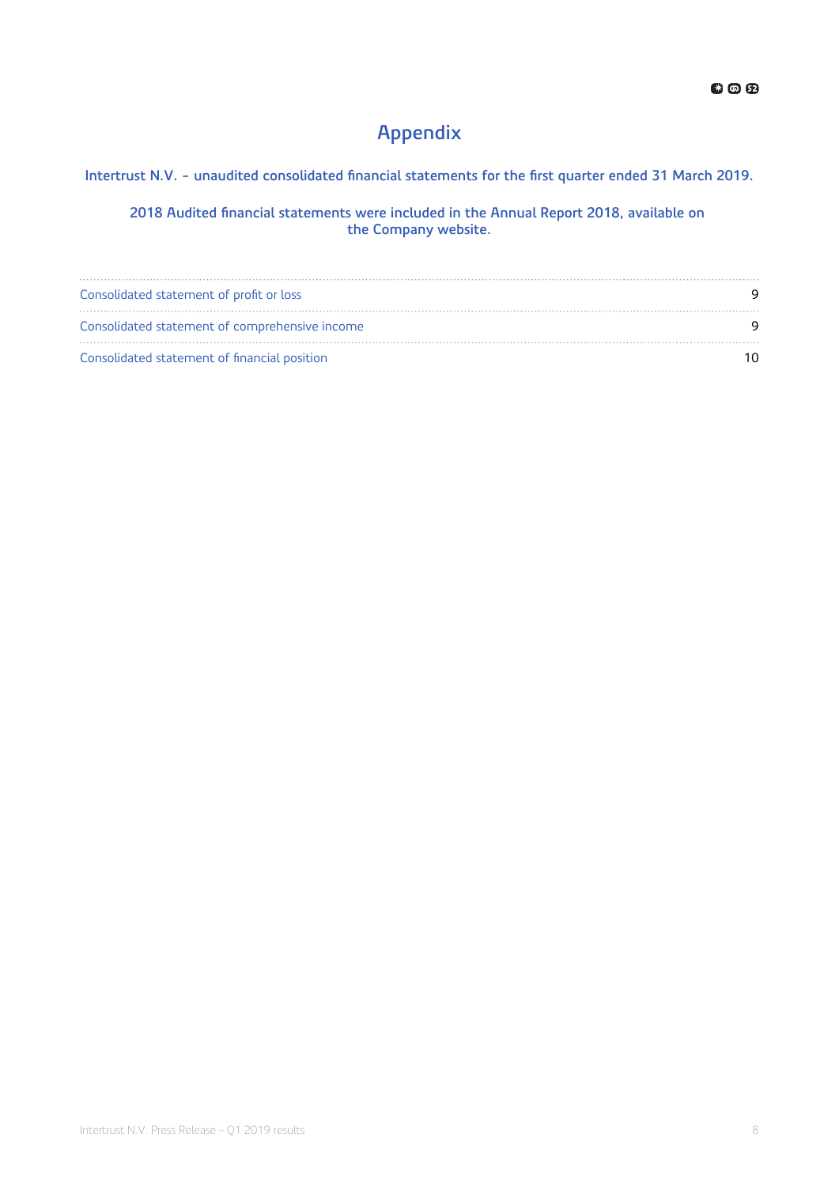### **Appendix**

### Intertrust N.V. - unaudited consolidated financial statements for the first quarter ended 31 March 2019.

#### 2018 Audited financial statements were included in the Annual Report 2018, available on **the Company website.**

| Consolidated statement of profit or loss       |    |
|------------------------------------------------|----|
| Consolidated statement of comprehensive income |    |
| Consolidated statement of financial position   | 10 |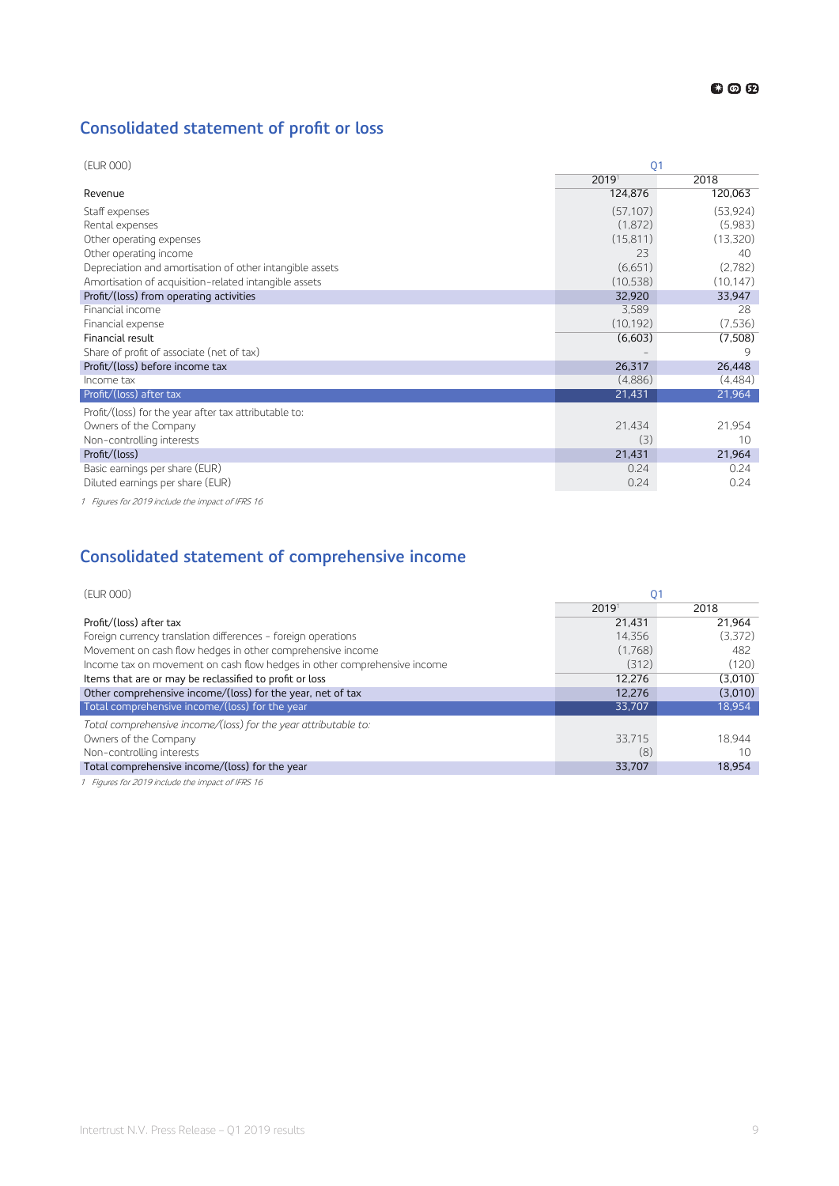### <span id="page-8-0"></span>**Consolidated statement of profit or loss**

| (EUR 000)                                                | O <sub>1</sub> |           |
|----------------------------------------------------------|----------------|-----------|
|                                                          | 20191          | 2018      |
| Revenue                                                  | 124,876        | 120,063   |
| Staff expenses                                           | (57, 107)      | (53,924)  |
| Rental expenses                                          | (1,872)        | (5,983)   |
| Other operating expenses                                 | (15, 811)      | (13,320)  |
| Other operating income                                   | 23             | 40        |
| Depreciation and amortisation of other intangible assets | (6,651)        | (2.782)   |
| Amortisation of acquisition-related intangible assets    | (10, 538)      | (10, 147) |
| Profit/(loss) from operating activities                  | 32,920         | 33,947    |
| Financial income                                         | 3,589          | 28        |
| Financial expense                                        | (10, 192)      | (7,536)   |
| Financial result                                         | (6,603)        | (7,508)   |
| Share of profit of associate (net of tax)                |                | 9         |
| Profit/(loss) before income tax                          | 26,317         | 26,448    |
| Income tax                                               | (4,886)        | (4,484)   |
| Profit/(loss) after tax                                  | 21,431         | 21,964    |
| Profit/(loss) for the year after tax attributable to:    |                |           |
| Owners of the Company                                    | 21,434         | 21,954    |
| Non-controlling interests                                | (3)            | 10        |
| Profit/(loss)                                            | 21,431         | 21,964    |
| Basic earnings per share (EUR)                           | 0.24           | 0.24      |
| Diluted earnings per share (EUR)                         | 0.24           | 0.24      |

1 Figures for 2019 include the impact of IFRS 16

### **Consolidated statement of comprehensive income**

| (EUR 000)                                                                | 01      |         |
|--------------------------------------------------------------------------|---------|---------|
|                                                                          | 20191   | 2018    |
| Profit/(loss) after tax                                                  | 21.431  | 21.964  |
| Foreign currency translation differences - foreign operations            | 14.356  | (3,372) |
| Movement on cash flow hedges in other comprehensive income               | (1,768) | 482     |
| Income tax on movement on cash flow hedges in other comprehensive income | (312)   | (120)   |
| Items that are or may be reclassified to profit or loss                  | 12.276  | (3,010) |
| Other comprehensive income/(loss) for the year, net of tax               | 12.276  | (3,010) |
| Total comprehensive income/(loss) for the year                           | 33,707  | 18,954  |
| Total comprehensive income/(loss) for the year attributable to:          |         |         |
| Owners of the Company                                                    | 33.715  | 18.944  |
| Non-controlling interests                                                | (8)     | 10      |
| Total comprehensive income/(loss) for the year                           | 33,707  | 18.954  |
| 1 Eigures for 2010 include the impact of IEDS 16                         |         |         |

1 Figures for 2019 include the impact of IFRS 16